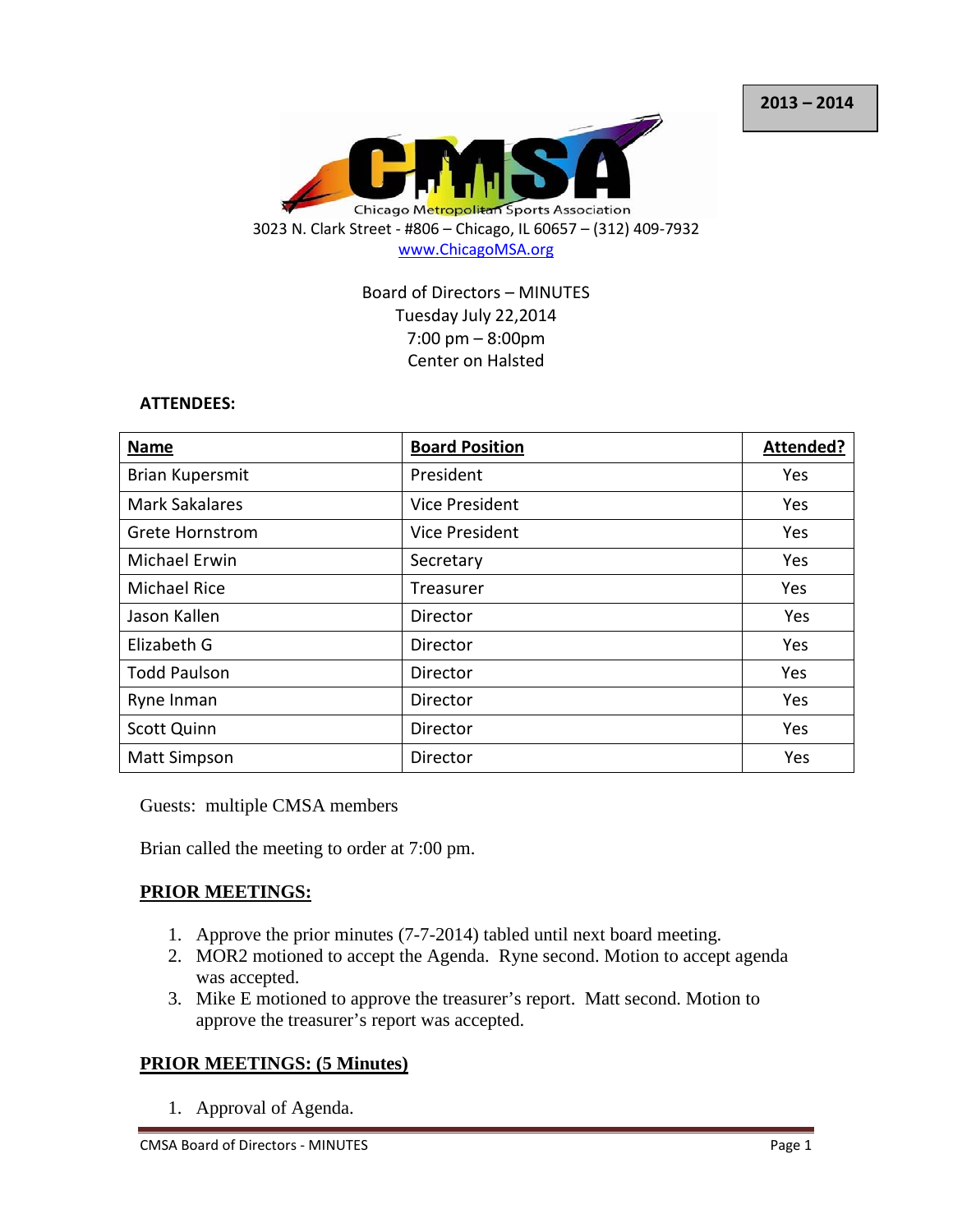

Board of Directors – MINUTES Tuesday July 22,2014 7:00 pm – 8:00pm Center on Halsted

#### **ATTENDEES:**

| Name                   | <b>Board Position</b> | Attended?  |
|------------------------|-----------------------|------------|
| <b>Brian Kupersmit</b> | President             | Yes        |
| <b>Mark Sakalares</b>  | Vice President        | <b>Yes</b> |
| <b>Grete Hornstrom</b> | Vice President        | Yes        |
| <b>Michael Erwin</b>   | Secretary             | Yes        |
| <b>Michael Rice</b>    | Treasurer             | Yes        |
| Jason Kallen           | Director              | Yes        |
| Elizabeth G            | Director              | Yes        |
| <b>Todd Paulson</b>    | Director              | Yes        |
| Ryne Inman             | Director              | Yes        |
| <b>Scott Quinn</b>     | Director              | Yes        |
| <b>Matt Simpson</b>    | Director              | Yes        |

Guests: multiple CMSA members

Brian called the meeting to order at 7:00 pm.

#### **PRIOR MEETINGS:**

- 1. Approve the prior minutes (7-7-2014) tabled until next board meeting.
- 2. MOR2 motioned to accept the Agenda. Ryne second. Motion to accept agenda was accepted.
- 3. Mike E motioned to approve the treasurer's report. Matt second. Motion to approve the treasurer's report was accepted.

## **PRIOR MEETINGS: (5 Minutes)**

1. Approval of Agenda.